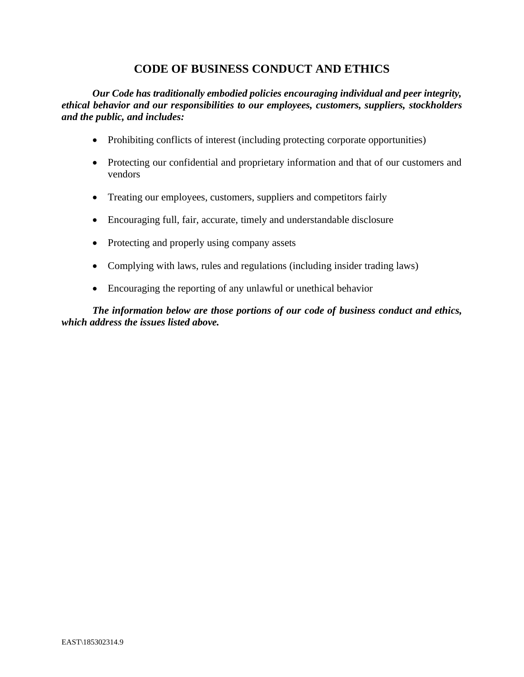# **CODE OF BUSINESS CONDUCT AND ETHICS**

*Our Code has traditionally embodied policies encouraging individual and peer integrity, ethical behavior and our responsibilities to our employees, customers, suppliers, stockholders and the public, and includes:*

- Prohibiting conflicts of interest (including protecting corporate opportunities)
- Protecting our confidential and proprietary information and that of our customers and vendors
- Treating our employees, customers, suppliers and competitors fairly
- Encouraging full, fair, accurate, timely and understandable disclosure
- Protecting and properly using company assets
- Complying with laws, rules and regulations (including insider trading laws)
- Encouraging the reporting of any unlawful or unethical behavior

*The information below are those portions of our code of business conduct and ethics, which address the issues listed above.*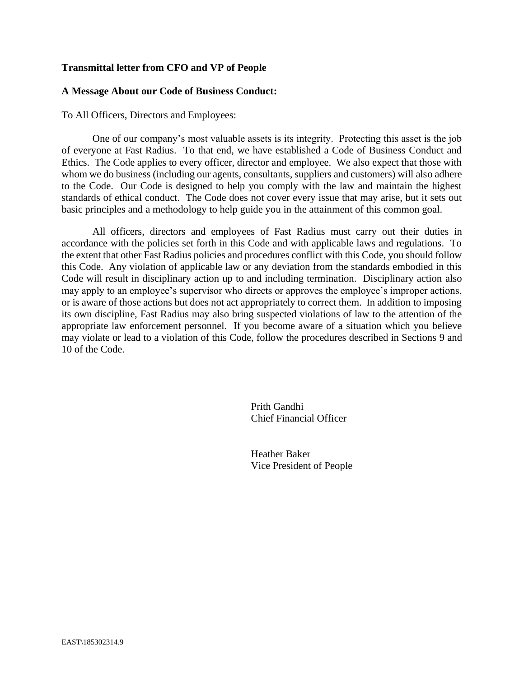### **Transmittal letter from CFO and VP of People**

### **A Message About our Code of Business Conduct:**

To All Officers, Directors and Employees:

One of our company's most valuable assets is its integrity. Protecting this asset is the job of everyone at Fast Radius. To that end, we have established a Code of Business Conduct and Ethics. The Code applies to every officer, director and employee. We also expect that those with whom we do business (including our agents, consultants, suppliers and customers) will also adhere to the Code. Our Code is designed to help you comply with the law and maintain the highest standards of ethical conduct. The Code does not cover every issue that may arise, but it sets out basic principles and a methodology to help guide you in the attainment of this common goal.

All officers, directors and employees of Fast Radius must carry out their duties in accordance with the policies set forth in this Code and with applicable laws and regulations. To the extent that other Fast Radius policies and procedures conflict with this Code, you should follow this Code. Any violation of applicable law or any deviation from the standards embodied in this Code will result in disciplinary action up to and including termination. Disciplinary action also may apply to an employee's supervisor who directs or approves the employee's improper actions, or is aware of those actions but does not act appropriately to correct them. In addition to imposing its own discipline, Fast Radius may also bring suspected violations of law to the attention of the appropriate law enforcement personnel. If you become aware of a situation which you believe may violate or lead to a violation of this Code, follow the procedures described in Sections 9 and 10 of the Code.

> Prith Gandhi Chief Financial Officer

Heather Baker Vice President of People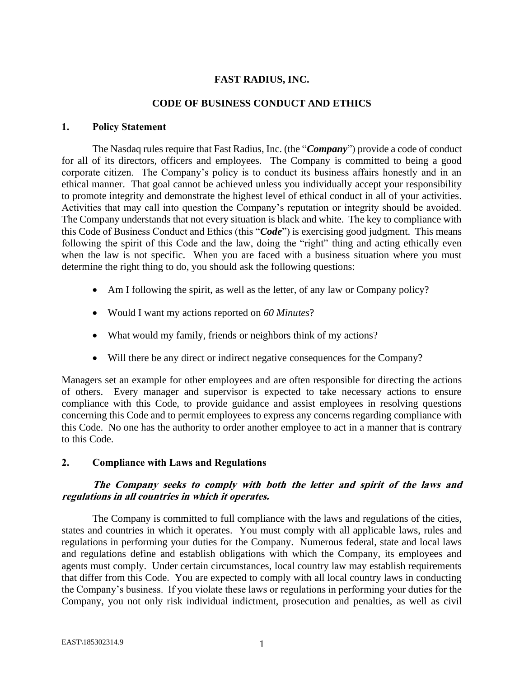# **FAST RADIUS, INC.**

#### **CODE OF BUSINESS CONDUCT AND ETHICS**

### **1. Policy Statement**

The Nasdaq rules require that Fast Radius, Inc. (the "*Company*") provide a code of conduct for all of its directors, officers and employees. The Company is committed to being a good corporate citizen. The Company's policy is to conduct its business affairs honestly and in an ethical manner. That goal cannot be achieved unless you individually accept your responsibility to promote integrity and demonstrate the highest level of ethical conduct in all of your activities. Activities that may call into question the Company's reputation or integrity should be avoided. The Company understands that not every situation is black and white. The key to compliance with this Code of Business Conduct and Ethics (this "*Code*") is exercising good judgment. This means following the spirit of this Code and the law, doing the "right" thing and acting ethically even when the law is not specific. When you are faced with a business situation where you must determine the right thing to do, you should ask the following questions:

- Am I following the spirit, as well as the letter, of any law or Company policy?
- Would I want my actions reported on *60 Minutes*?
- What would my family, friends or neighbors think of my actions?
- Will there be any direct or indirect negative consequences for the Company?

Managers set an example for other employees and are often responsible for directing the actions of others. Every manager and supervisor is expected to take necessary actions to ensure compliance with this Code, to provide guidance and assist employees in resolving questions concerning this Code and to permit employees to express any concerns regarding compliance with this Code. No one has the authority to order another employee to act in a manner that is contrary to this Code.

### **2. Compliance with Laws and Regulations**

# **The Company seeks to comply with both the letter and spirit of the laws and regulations in all countries in which it operates.**

The Company is committed to full compliance with the laws and regulations of the cities, states and countries in which it operates. You must comply with all applicable laws, rules and regulations in performing your duties for the Company. Numerous federal, state and local laws and regulations define and establish obligations with which the Company, its employees and agents must comply. Under certain circumstances, local country law may establish requirements that differ from this Code. You are expected to comply with all local country laws in conducting the Company's business. If you violate these laws or regulations in performing your duties for the Company, you not only risk individual indictment, prosecution and penalties, as well as civil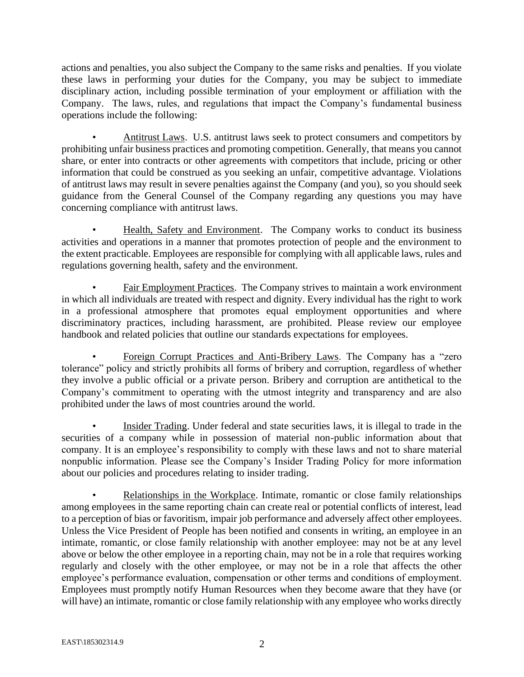actions and penalties, you also subject the Company to the same risks and penalties. If you violate these laws in performing your duties for the Company, you may be subject to immediate disciplinary action, including possible termination of your employment or affiliation with the Company. The laws, rules, and regulations that impact the Company's fundamental business operations include the following:

• Antitrust Laws. U.S. antitrust laws seek to protect consumers and competitors by prohibiting unfair business practices and promoting competition. Generally, that means you cannot share, or enter into contracts or other agreements with competitors that include, pricing or other information that could be construed as you seeking an unfair, competitive advantage. Violations of antitrust laws may result in severe penalties against the Company (and you), so you should seek guidance from the General Counsel of the Company regarding any questions you may have concerning compliance with antitrust laws.

• Health, Safety and Environment. The Company works to conduct its business activities and operations in a manner that promotes protection of people and the environment to the extent practicable. Employees are responsible for complying with all applicable laws, rules and regulations governing health, safety and the environment.

• Fair Employment Practices. The Company strives to maintain a work environment in which all individuals are treated with respect and dignity. Every individual has the right to work in a professional atmosphere that promotes equal employment opportunities and where discriminatory practices, including harassment, are prohibited. Please review our employee handbook and related policies that outline our standards expectations for employees.

• Foreign Corrupt Practices and Anti-Bribery Laws. The Company has a "zero tolerance" policy and strictly prohibits all forms of bribery and corruption, regardless of whether they involve a public official or a private person. Bribery and corruption are antithetical to the Company's commitment to operating with the utmost integrity and transparency and are also prohibited under the laws of most countries around the world.

• Insider Trading. Under federal and state securities laws, it is illegal to trade in the securities of a company while in possession of material non-public information about that company. It is an employee's responsibility to comply with these laws and not to share material nonpublic information. Please see the Company's Insider Trading Policy for more information about our policies and procedures relating to insider trading.

• Relationships in the Workplace. Intimate, romantic or close family relationships among employees in the same reporting chain can create real or potential conflicts of interest, lead to a perception of bias or favoritism, impair job performance and adversely affect other employees. Unless the Vice President of People has been notified and consents in writing, an employee in an intimate, romantic, or close family relationship with another employee: may not be at any level above or below the other employee in a reporting chain, may not be in a role that requires working regularly and closely with the other employee, or may not be in a role that affects the other employee's performance evaluation, compensation or other terms and conditions of employment. Employees must promptly notify Human Resources when they become aware that they have (or will have) an intimate, romantic or close family relationship with any employee who works directly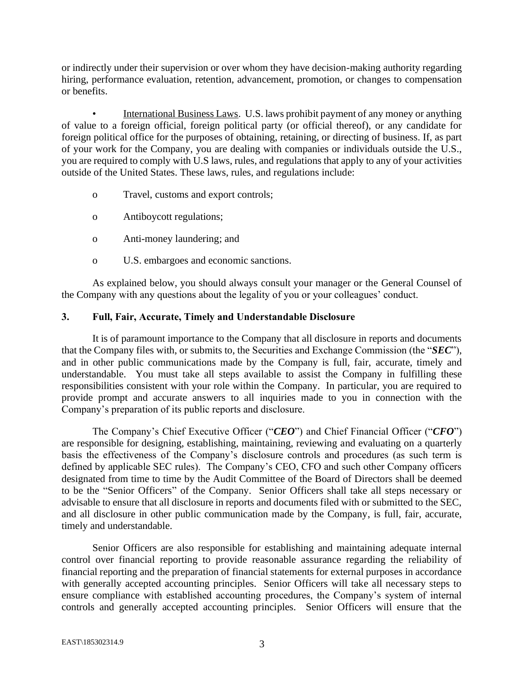or indirectly under their supervision or over whom they have decision-making authority regarding hiring, performance evaluation, retention, advancement, promotion, or changes to compensation or benefits.

• International Business Laws. U.S. laws prohibit payment of any money or anything of value to a foreign official, foreign political party (or official thereof), or any candidate for foreign political office for the purposes of obtaining, retaining, or directing of business. If, as part of your work for the Company, you are dealing with companies or individuals outside the U.S., you are required to comply with U.S laws, rules, and regulations that apply to any of your activities outside of the United States. These laws, rules, and regulations include:

- o Travel, customs and export controls;
- o Antiboycott regulations;
- o Anti-money laundering; and
- o U.S. embargoes and economic sanctions.

As explained below, you should always consult your manager or the General Counsel of the Company with any questions about the legality of you or your colleagues' conduct.

### **3. Full, Fair, Accurate, Timely and Understandable Disclosure**

It is of paramount importance to the Company that all disclosure in reports and documents that the Company files with, or submits to, the Securities and Exchange Commission (the "*SEC*"), and in other public communications made by the Company is full, fair, accurate, timely and understandable. You must take all steps available to assist the Company in fulfilling these responsibilities consistent with your role within the Company. In particular, you are required to provide prompt and accurate answers to all inquiries made to you in connection with the Company's preparation of its public reports and disclosure.

The Company's Chief Executive Officer ("*CEO*") and Chief Financial Officer ("*CFO*") are responsible for designing, establishing, maintaining, reviewing and evaluating on a quarterly basis the effectiveness of the Company's disclosure controls and procedures (as such term is defined by applicable SEC rules). The Company's CEO, CFO and such other Company officers designated from time to time by the Audit Committee of the Board of Directors shall be deemed to be the "Senior Officers" of the Company. Senior Officers shall take all steps necessary or advisable to ensure that all disclosure in reports and documents filed with or submitted to the SEC, and all disclosure in other public communication made by the Company, is full, fair, accurate, timely and understandable.

Senior Officers are also responsible for establishing and maintaining adequate internal control over financial reporting to provide reasonable assurance regarding the reliability of financial reporting and the preparation of financial statements for external purposes in accordance with generally accepted accounting principles. Senior Officers will take all necessary steps to ensure compliance with established accounting procedures, the Company's system of internal controls and generally accepted accounting principles. Senior Officers will ensure that the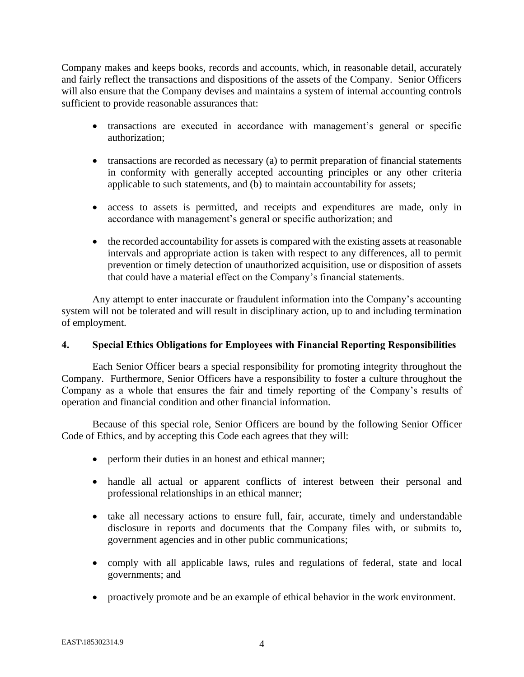Company makes and keeps books, records and accounts, which, in reasonable detail, accurately and fairly reflect the transactions and dispositions of the assets of the Company. Senior Officers will also ensure that the Company devises and maintains a system of internal accounting controls sufficient to provide reasonable assurances that:

- transactions are executed in accordance with management's general or specific authorization;
- transactions are recorded as necessary (a) to permit preparation of financial statements in conformity with generally accepted accounting principles or any other criteria applicable to such statements, and (b) to maintain accountability for assets;
- access to assets is permitted, and receipts and expenditures are made, only in accordance with management's general or specific authorization; and
- the recorded accountability for assets is compared with the existing assets at reasonable intervals and appropriate action is taken with respect to any differences, all to permit prevention or timely detection of unauthorized acquisition, use or disposition of assets that could have a material effect on the Company's financial statements.

Any attempt to enter inaccurate or fraudulent information into the Company's accounting system will not be tolerated and will result in disciplinary action, up to and including termination of employment.

### **4. Special Ethics Obligations for Employees with Financial Reporting Responsibilities**

Each Senior Officer bears a special responsibility for promoting integrity throughout the Company. Furthermore, Senior Officers have a responsibility to foster a culture throughout the Company as a whole that ensures the fair and timely reporting of the Company's results of operation and financial condition and other financial information.

Because of this special role, Senior Officers are bound by the following Senior Officer Code of Ethics, and by accepting this Code each agrees that they will:

- perform their duties in an honest and ethical manner;
- handle all actual or apparent conflicts of interest between their personal and professional relationships in an ethical manner;
- take all necessary actions to ensure full, fair, accurate, timely and understandable disclosure in reports and documents that the Company files with, or submits to, government agencies and in other public communications;
- comply with all applicable laws, rules and regulations of federal, state and local governments; and
- proactively promote and be an example of ethical behavior in the work environment.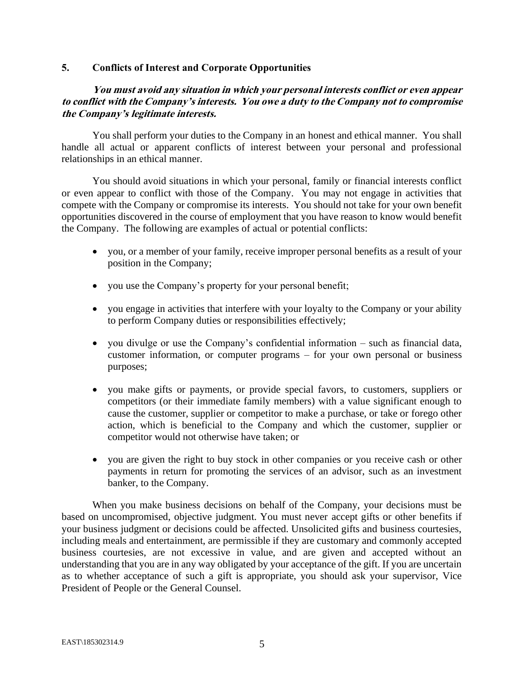### **5. Conflicts of Interest and Corporate Opportunities**

# **You must avoid any situation in which your personal interests conflict or even appear to conflict with the Company's interests. You owe a duty to the Company not to compromise the Company's legitimate interests.**

You shall perform your duties to the Company in an honest and ethical manner. You shall handle all actual or apparent conflicts of interest between your personal and professional relationships in an ethical manner.

You should avoid situations in which your personal, family or financial interests conflict or even appear to conflict with those of the Company. You may not engage in activities that compete with the Company or compromise its interests. You should not take for your own benefit opportunities discovered in the course of employment that you have reason to know would benefit the Company. The following are examples of actual or potential conflicts:

- you, or a member of your family, receive improper personal benefits as a result of your position in the Company;
- you use the Company's property for your personal benefit;
- you engage in activities that interfere with your loyalty to the Company or your ability to perform Company duties or responsibilities effectively;
- you divulge or use the Company's confidential information such as financial data, customer information, or computer programs – for your own personal or business purposes;
- you make gifts or payments, or provide special favors, to customers, suppliers or competitors (or their immediate family members) with a value significant enough to cause the customer, supplier or competitor to make a purchase, or take or forego other action, which is beneficial to the Company and which the customer, supplier or competitor would not otherwise have taken; or
- you are given the right to buy stock in other companies or you receive cash or other payments in return for promoting the services of an advisor, such as an investment banker, to the Company.

When you make business decisions on behalf of the Company, your decisions must be based on uncompromised, objective judgment. You must never accept gifts or other benefits if your business judgment or decisions could be affected. Unsolicited gifts and business courtesies, including meals and entertainment, are permissible if they are customary and commonly accepted business courtesies, are not excessive in value, and are given and accepted without an understanding that you are in any way obligated by your acceptance of the gift. If you are uncertain as to whether acceptance of such a gift is appropriate, you should ask your supervisor, Vice President of People or the General Counsel.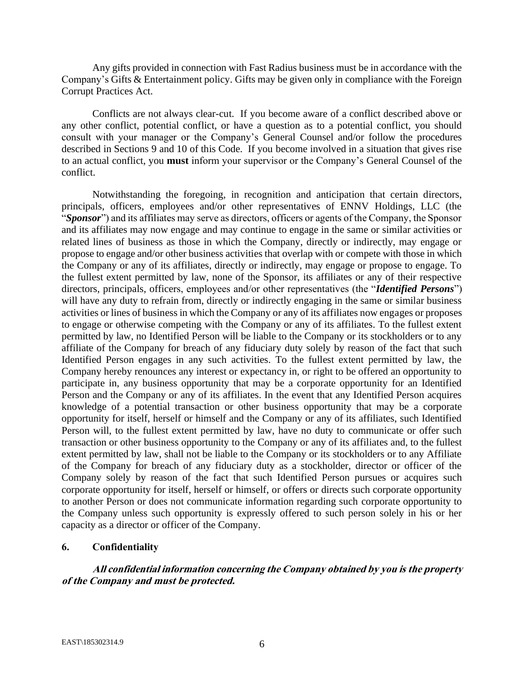Any gifts provided in connection with Fast Radius business must be in accordance with the Company's Gifts & Entertainment policy. Gifts may be given only in compliance with the Foreign Corrupt Practices Act.

Conflicts are not always clear-cut. If you become aware of a conflict described above or any other conflict, potential conflict, or have a question as to a potential conflict, you should consult with your manager or the Company's General Counsel and/or follow the procedures described in Sections 9 and 10 of this Code. If you become involved in a situation that gives rise to an actual conflict, you **must** inform your supervisor or the Company's General Counsel of the conflict.

Notwithstanding the foregoing, in recognition and anticipation that certain directors, principals, officers, employees and/or other representatives of ENNV Holdings, LLC (the "*Sponsor*") and its affiliates may serve as directors, officers or agents of the Company, the Sponsor and its affiliates may now engage and may continue to engage in the same or similar activities or related lines of business as those in which the Company, directly or indirectly, may engage or propose to engage and/or other business activities that overlap with or compete with those in which the Company or any of its affiliates, directly or indirectly, may engage or propose to engage. To the fullest extent permitted by law, none of the Sponsor, its affiliates or any of their respective directors, principals, officers, employees and/or other representatives (the "*Identified Persons*") will have any duty to refrain from, directly or indirectly engaging in the same or similar business activities or lines of business in which the Company or any of its affiliates now engages or proposes to engage or otherwise competing with the Company or any of its affiliates. To the fullest extent permitted by law, no Identified Person will be liable to the Company or its stockholders or to any affiliate of the Company for breach of any fiduciary duty solely by reason of the fact that such Identified Person engages in any such activities. To the fullest extent permitted by law, the Company hereby renounces any interest or expectancy in, or right to be offered an opportunity to participate in, any business opportunity that may be a corporate opportunity for an Identified Person and the Company or any of its affiliates. In the event that any Identified Person acquires knowledge of a potential transaction or other business opportunity that may be a corporate opportunity for itself, herself or himself and the Company or any of its affiliates, such Identified Person will, to the fullest extent permitted by law, have no duty to communicate or offer such transaction or other business opportunity to the Company or any of its affiliates and, to the fullest extent permitted by law, shall not be liable to the Company or its stockholders or to any Affiliate of the Company for breach of any fiduciary duty as a stockholder, director or officer of the Company solely by reason of the fact that such Identified Person pursues or acquires such corporate opportunity for itself, herself or himself, or offers or directs such corporate opportunity to another Person or does not communicate information regarding such corporate opportunity to the Company unless such opportunity is expressly offered to such person solely in his or her capacity as a director or officer of the Company.

### **6. Confidentiality**

**All confidential information concerning the Company obtained by you is the property of the Company and must be protected.**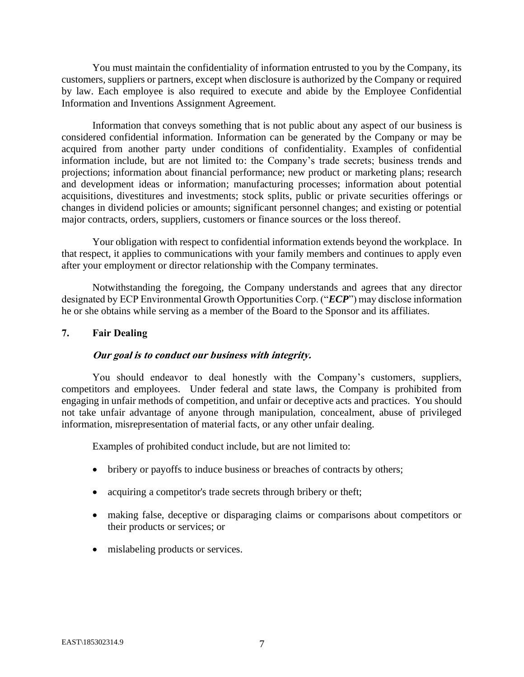You must maintain the confidentiality of information entrusted to you by the Company, its customers, suppliers or partners, except when disclosure is authorized by the Company or required by law. Each employee is also required to execute and abide by the Employee Confidential Information and Inventions Assignment Agreement.

Information that conveys something that is not public about any aspect of our business is considered confidential information. Information can be generated by the Company or may be acquired from another party under conditions of confidentiality. Examples of confidential information include, but are not limited to: the Company's trade secrets; business trends and projections; information about financial performance; new product or marketing plans; research and development ideas or information; manufacturing processes; information about potential acquisitions, divestitures and investments; stock splits, public or private securities offerings or changes in dividend policies or amounts; significant personnel changes; and existing or potential major contracts, orders, suppliers, customers or finance sources or the loss thereof.

Your obligation with respect to confidential information extends beyond the workplace. In that respect, it applies to communications with your family members and continues to apply even after your employment or director relationship with the Company terminates.

Notwithstanding the foregoing, the Company understands and agrees that any director designated by ECP Environmental Growth Opportunities Corp. ("*ECP*") may disclose information he or she obtains while serving as a member of the Board to the Sponsor and its affiliates.

#### **7. Fair Dealing**

#### **Our goal is to conduct our business with integrity.**

You should endeavor to deal honestly with the Company's customers, suppliers, competitors and employees. Under federal and state laws, the Company is prohibited from engaging in unfair methods of competition, and unfair or deceptive acts and practices. You should not take unfair advantage of anyone through manipulation, concealment, abuse of privileged information, misrepresentation of material facts, or any other unfair dealing.

Examples of prohibited conduct include, but are not limited to:

- bribery or payoffs to induce business or breaches of contracts by others;
- acquiring a competitor's trade secrets through bribery or theft;
- making false, deceptive or disparaging claims or comparisons about competitors or their products or services; or
- mislabeling products or services.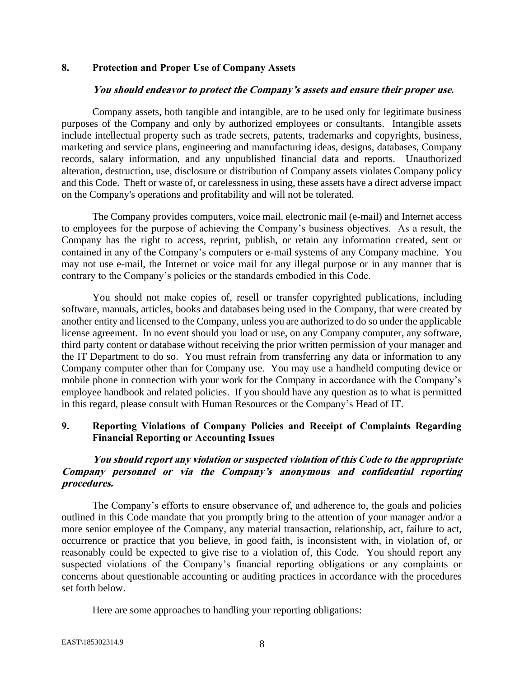### **8. Protection and Proper Use of Company Assets**

#### **You should endeavor to protect the Company's assets and ensure their proper use.**

Company assets, both tangible and intangible, are to be used only for legitimate business purposes of the Company and only by authorized employees or consultants. Intangible assets include intellectual property such as trade secrets, patents, trademarks and copyrights, business, marketing and service plans, engineering and manufacturing ideas, designs, databases, Company records, salary information, and any unpublished financial data and reports. Unauthorized alteration, destruction, use, disclosure or distribution of Company assets violates Company policy and this Code. Theft or waste of, or carelessness in using, these assets have a direct adverse impact on the Company's operations and profitability and will not be tolerated.

The Company provides computers, voice mail, electronic mail (e-mail) and Internet access to employees for the purpose of achieving the Company's business objectives. As a result, the Company has the right to access, reprint, publish, or retain any information created, sent or contained in any of the Company's computers or e-mail systems of any Company machine. You may not use e-mail, the Internet or voice mail for any illegal purpose or in any manner that is contrary to the Company's policies or the standards embodied in this Code.

You should not make copies of, resell or transfer copyrighted publications, including software, manuals, articles, books and databases being used in the Company, that were created by another entity and licensed to the Company, unless you are authorized to do so under the applicable license agreement. In no event should you load or use, on any Company computer, any software, third party content or database without receiving the prior written permission of your manager and the IT Department to do so. You must refrain from transferring any data or information to any Company computer other than for Company use. You may use a handheld computing device or mobile phone in connection with your work for the Company in accordance with the Company's employee handbook and related policies. If you should have any question as to what is permitted in this regard, please consult with Human Resources or the Company's Head of IT.

# **9. Reporting Violations of Company Policies and Receipt of Complaints Regarding Financial Reporting or Accounting Issues**

# **You should report any violation or suspected violation of this Code to the appropriate Company personnel or via the Company's anonymous and confidential reporting procedures.**

The Company's efforts to ensure observance of, and adherence to, the goals and policies outlined in this Code mandate that you promptly bring to the attention of your manager and/or a more senior employee of the Company, any material transaction, relationship, act, failure to act, occurrence or practice that you believe, in good faith, is inconsistent with, in violation of, or reasonably could be expected to give rise to a violation of, this Code. You should report any suspected violations of the Company's financial reporting obligations or any complaints or concerns about questionable accounting or auditing practices in accordance with the procedures set forth below.

Here are some approaches to handling your reporting obligations: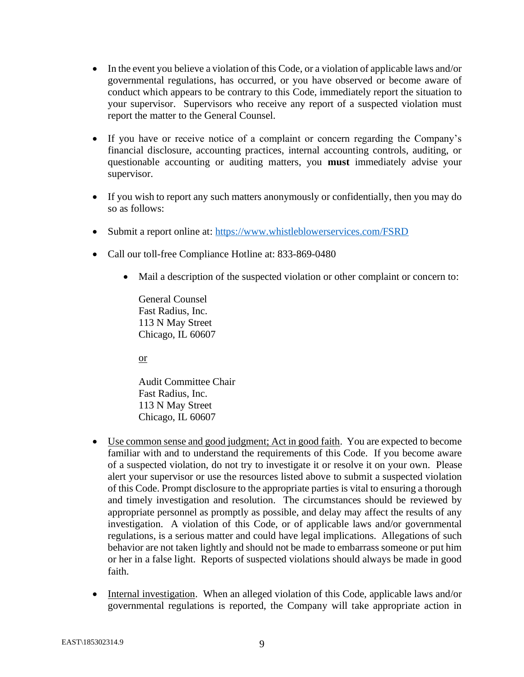- In the event you believe a violation of this Code, or a violation of applicable laws and/or governmental regulations, has occurred, or you have observed or become aware of conduct which appears to be contrary to this Code, immediately report the situation to your supervisor. Supervisors who receive any report of a suspected violation must report the matter to the General Counsel.
- If you have or receive notice of a complaint or concern regarding the Company's financial disclosure, accounting practices, internal accounting controls, auditing, or questionable accounting or auditing matters, you **must** immediately advise your supervisor.
- If you wish to report any such matters anonymously or confidentially, then you may do so as follows:
- Submit a report online at:<https://www.whistleblowerservices.com/FSRD>
- Call our toll-free Compliance Hotline at: 833-869-0480
	- Mail a description of the suspected violation or other complaint or concern to:

General Counsel Fast Radius, Inc. 113 N May Street Chicago, IL 60607

or

Audit Committee Chair Fast Radius, Inc. 113 N May Street Chicago, IL 60607

- Use common sense and good judgment; Act in good faith. You are expected to become familiar with and to understand the requirements of this Code. If you become aware of a suspected violation, do not try to investigate it or resolve it on your own. Please alert your supervisor or use the resources listed above to submit a suspected violation of this Code. Prompt disclosure to the appropriate parties is vital to ensuring a thorough and timely investigation and resolution. The circumstances should be reviewed by appropriate personnel as promptly as possible, and delay may affect the results of any investigation. A violation of this Code, or of applicable laws and/or governmental regulations, is a serious matter and could have legal implications. Allegations of such behavior are not taken lightly and should not be made to embarrass someone or put him or her in a false light. Reports of suspected violations should always be made in good faith.
- Internal investigation. When an alleged violation of this Code, applicable laws and/or governmental regulations is reported, the Company will take appropriate action in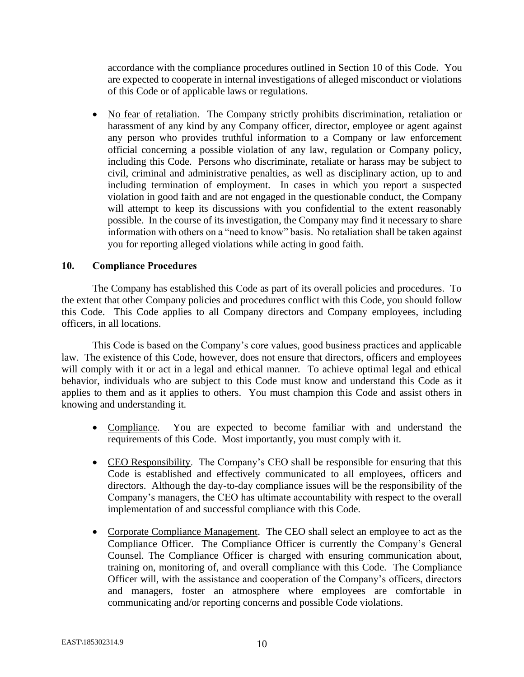accordance with the compliance procedures outlined in Section 10 of this Code. You are expected to cooperate in internal investigations of alleged misconduct or violations of this Code or of applicable laws or regulations.

• No fear of retaliation. The Company strictly prohibits discrimination, retaliation or harassment of any kind by any Company officer, director, employee or agent against any person who provides truthful information to a Company or law enforcement official concerning a possible violation of any law, regulation or Company policy, including this Code. Persons who discriminate, retaliate or harass may be subject to civil, criminal and administrative penalties, as well as disciplinary action, up to and including termination of employment. In cases in which you report a suspected violation in good faith and are not engaged in the questionable conduct, the Company will attempt to keep its discussions with you confidential to the extent reasonably possible. In the course of its investigation, the Company may find it necessary to share information with others on a "need to know" basis. No retaliation shall be taken against you for reporting alleged violations while acting in good faith.

### **10. Compliance Procedures**

The Company has established this Code as part of its overall policies and procedures. To the extent that other Company policies and procedures conflict with this Code, you should follow this Code. This Code applies to all Company directors and Company employees, including officers, in all locations.

This Code is based on the Company's core values, good business practices and applicable law. The existence of this Code, however, does not ensure that directors, officers and employees will comply with it or act in a legal and ethical manner. To achieve optimal legal and ethical behavior, individuals who are subject to this Code must know and understand this Code as it applies to them and as it applies to others. You must champion this Code and assist others in knowing and understanding it.

- Compliance. You are expected to become familiar with and understand the requirements of this Code. Most importantly, you must comply with it.
- CEO Responsibility. The Company's CEO shall be responsible for ensuring that this Code is established and effectively communicated to all employees, officers and directors. Although the day-to-day compliance issues will be the responsibility of the Company's managers, the CEO has ultimate accountability with respect to the overall implementation of and successful compliance with this Code.
- Corporate Compliance Management. The CEO shall select an employee to act as the Compliance Officer. The Compliance Officer is currently the Company's General Counsel. The Compliance Officer is charged with ensuring communication about, training on, monitoring of, and overall compliance with this Code. The Compliance Officer will, with the assistance and cooperation of the Company's officers, directors and managers, foster an atmosphere where employees are comfortable in communicating and/or reporting concerns and possible Code violations.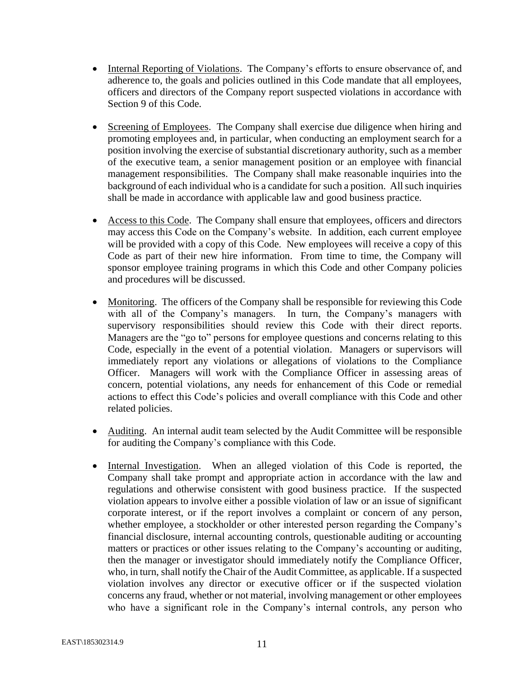- Internal Reporting of Violations. The Company's efforts to ensure observance of, and adherence to, the goals and policies outlined in this Code mandate that all employees, officers and directors of the Company report suspected violations in accordance with Section 9 of this Code.
- Screening of Employees. The Company shall exercise due diligence when hiring and promoting employees and, in particular, when conducting an employment search for a position involving the exercise of substantial discretionary authority, such as a member of the executive team, a senior management position or an employee with financial management responsibilities. The Company shall make reasonable inquiries into the background of each individual who is a candidate for such a position. All such inquiries shall be made in accordance with applicable law and good business practice.
- Access to this Code. The Company shall ensure that employees, officers and directors may access this Code on the Company's website. In addition, each current employee will be provided with a copy of this Code. New employees will receive a copy of this Code as part of their new hire information. From time to time, the Company will sponsor employee training programs in which this Code and other Company policies and procedures will be discussed.
- Monitoring. The officers of the Company shall be responsible for reviewing this Code with all of the Company's managers. In turn, the Company's managers with supervisory responsibilities should review this Code with their direct reports. Managers are the "go to" persons for employee questions and concerns relating to this Code, especially in the event of a potential violation. Managers or supervisors will immediately report any violations or allegations of violations to the Compliance Officer. Managers will work with the Compliance Officer in assessing areas of concern, potential violations, any needs for enhancement of this Code or remedial actions to effect this Code's policies and overall compliance with this Code and other related policies.
- Auditing. An internal audit team selected by the Audit Committee will be responsible for auditing the Company's compliance with this Code.
- Internal Investigation. When an alleged violation of this Code is reported, the Company shall take prompt and appropriate action in accordance with the law and regulations and otherwise consistent with good business practice. If the suspected violation appears to involve either a possible violation of law or an issue of significant corporate interest, or if the report involves a complaint or concern of any person, whether employee, a stockholder or other interested person regarding the Company's financial disclosure, internal accounting controls, questionable auditing or accounting matters or practices or other issues relating to the Company's accounting or auditing, then the manager or investigator should immediately notify the Compliance Officer, who, in turn, shall notify the Chair of the Audit Committee, as applicable. If a suspected violation involves any director or executive officer or if the suspected violation concerns any fraud, whether or not material, involving management or other employees who have a significant role in the Company's internal controls, any person who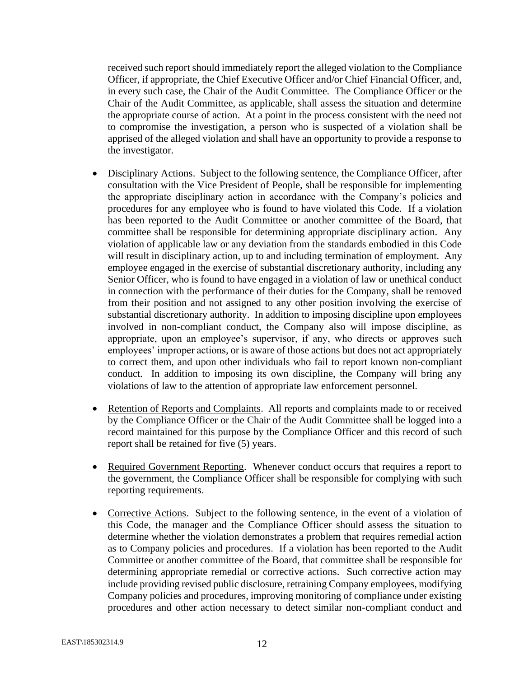received such report should immediately report the alleged violation to the Compliance Officer, if appropriate, the Chief Executive Officer and/or Chief Financial Officer, and, in every such case, the Chair of the Audit Committee. The Compliance Officer or the Chair of the Audit Committee, as applicable, shall assess the situation and determine the appropriate course of action. At a point in the process consistent with the need not to compromise the investigation, a person who is suspected of a violation shall be apprised of the alleged violation and shall have an opportunity to provide a response to the investigator.

- Disciplinary Actions. Subject to the following sentence, the Compliance Officer, after consultation with the Vice President of People, shall be responsible for implementing the appropriate disciplinary action in accordance with the Company's policies and procedures for any employee who is found to have violated this Code. If a violation has been reported to the Audit Committee or another committee of the Board, that committee shall be responsible for determining appropriate disciplinary action. Any violation of applicable law or any deviation from the standards embodied in this Code will result in disciplinary action, up to and including termination of employment. Any employee engaged in the exercise of substantial discretionary authority, including any Senior Officer, who is found to have engaged in a violation of law or unethical conduct in connection with the performance of their duties for the Company, shall be removed from their position and not assigned to any other position involving the exercise of substantial discretionary authority. In addition to imposing discipline upon employees involved in non-compliant conduct, the Company also will impose discipline, as appropriate, upon an employee's supervisor, if any, who directs or approves such employees' improper actions, or is aware of those actions but does not act appropriately to correct them, and upon other individuals who fail to report known non-compliant conduct. In addition to imposing its own discipline, the Company will bring any violations of law to the attention of appropriate law enforcement personnel.
- Retention of Reports and Complaints. All reports and complaints made to or received by the Compliance Officer or the Chair of the Audit Committee shall be logged into a record maintained for this purpose by the Compliance Officer and this record of such report shall be retained for five (5) years.
- Required Government Reporting. Whenever conduct occurs that requires a report to the government, the Compliance Officer shall be responsible for complying with such reporting requirements.
- Corrective Actions. Subject to the following sentence, in the event of a violation of this Code, the manager and the Compliance Officer should assess the situation to determine whether the violation demonstrates a problem that requires remedial action as to Company policies and procedures. If a violation has been reported to the Audit Committee or another committee of the Board, that committee shall be responsible for determining appropriate remedial or corrective actions. Such corrective action may include providing revised public disclosure, retraining Company employees, modifying Company policies and procedures, improving monitoring of compliance under existing procedures and other action necessary to detect similar non-compliant conduct and